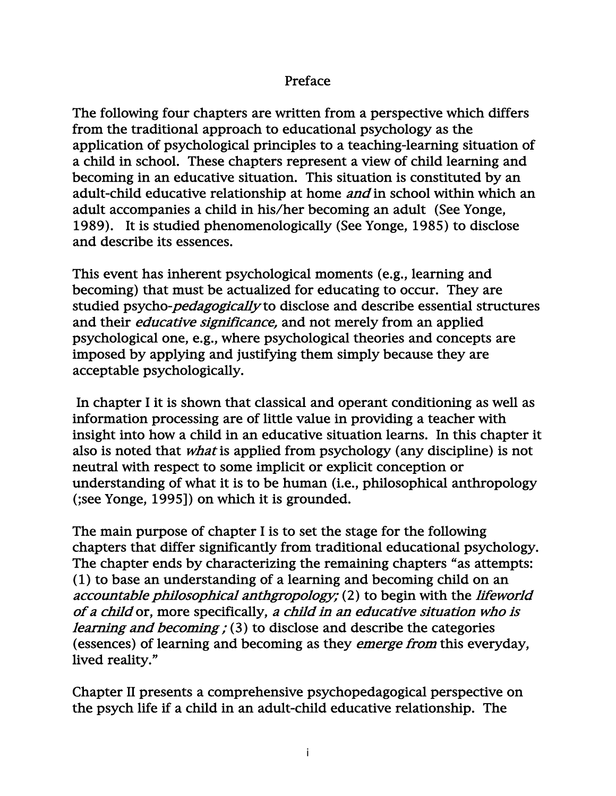## Preface

The following four chapters are written from a perspective which differs from the traditional approach to educational psychology as the application of psychological principles to a teaching-learning situation of a child in school. These chapters represent a view of child learning and becoming in an educative situation. This situation is constituted by an adult-child educative relationship at home *and* in school within which an adult accompanies a child in his/her becoming an adult (See Yonge, 1989). It is studied phenomenologically (See Yonge, 1985) to disclose and describe its essences.

This event has inherent psychological moments (e.g., learning and becoming) that must be actualized for educating to occur. They are studied psycho-pedagogically to disclose and describe essential structures and their *educative significance*, and not merely from an applied psychological one, e.g., where psychological theories and concepts are imposed by applying and justifying them simply because they are acceptable psychologically.

 In chapter I it is shown that classical and operant conditioning as well as information processing are of little value in providing a teacher with insight into how a child in an educative situation learns. In this chapter it also is noted that what is applied from psychology (any discipline) is not neutral with respect to some implicit or explicit conception or understanding of what it is to be human (i.e., philosophical anthropology (;see Yonge, 1995]) on which it is grounded.

The main purpose of chapter I is to set the stage for the following chapters that differ significantly from traditional educational psychology. The chapter ends by characterizing the remaining chapters "as attempts: (1) to base an understanding of a learning and becoming child on an accountable philosophical anthgropology; (2) to begin with the lifeworld of a child or, more specifically, a child in an educative situation who is learning and becoming ; (3) to disclose and describe the categories (essences) of learning and becoming as they emerge from this everyday, lived reality."

Chapter II presents a comprehensive psychopedagogical perspective on the psych life if a child in an adult-child educative relationship. The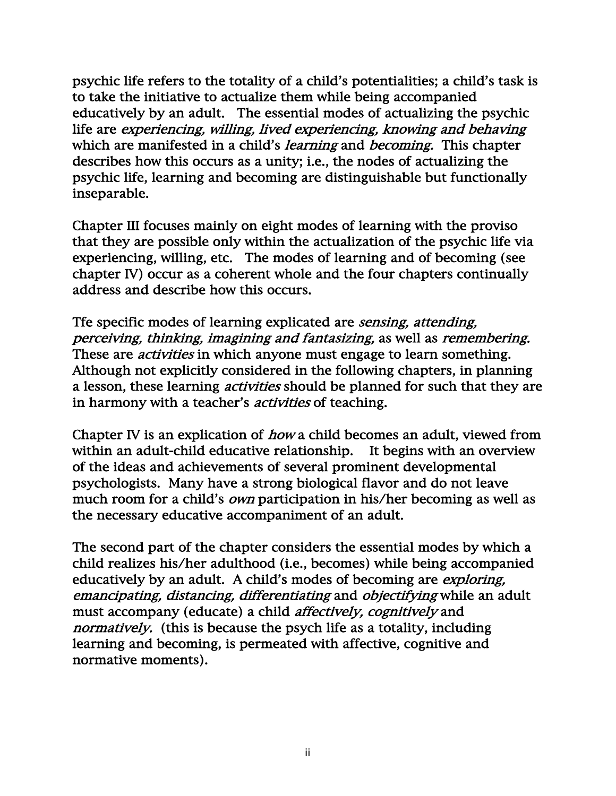psychic life refers to the totality of a child's potentialities; a child's task is to take the initiative to actualize them while being accompanied educatively by an adult. The essential modes of actualizing the psychic life are experiencing, willing, lived experiencing, knowing and behaving which are manifested in a child's *learning* and *becoming*. This chapter describes how this occurs as a unity; i.e., the nodes of actualizing the psychic life, learning and becoming are distinguishable but functionally inseparable.

Chapter III focuses mainly on eight modes of learning with the proviso that they are possible only within the actualization of the psychic life via experiencing, willing, etc. The modes of learning and of becoming (see chapter IV) occur as a coherent whole and the four chapters continually address and describe how this occurs.

Tfe specific modes of learning explicated are sensing, attending, perceiving, thinking, imagining and fantasizing, as well as remembering. These are *activities* in which anyone must engage to learn something. Although not explicitly considered in the following chapters, in planning a lesson, these learning activities should be planned for such that they are in harmony with a teacher's *activities* of teaching.

Chapter IV is an explication of how a child becomes an adult, viewed from within an adult-child educative relationship. It begins with an overview of the ideas and achievements of several prominent developmental psychologists. Many have a strong biological flavor and do not leave much room for a child's *own* participation in his/her becoming as well as the necessary educative accompaniment of an adult.

The second part of the chapter considers the essential modes by which a child realizes his/her adulthood (i.e., becomes) while being accompanied educatively by an adult. A child's modes of becoming are exploring, emancipating, distancing, differentiating and objectifying while an adult must accompany (educate) a child affectively, cognitively and normatively. (this is because the psych life as a totality, including learning and becoming, is permeated with affective, cognitive and normative moments).